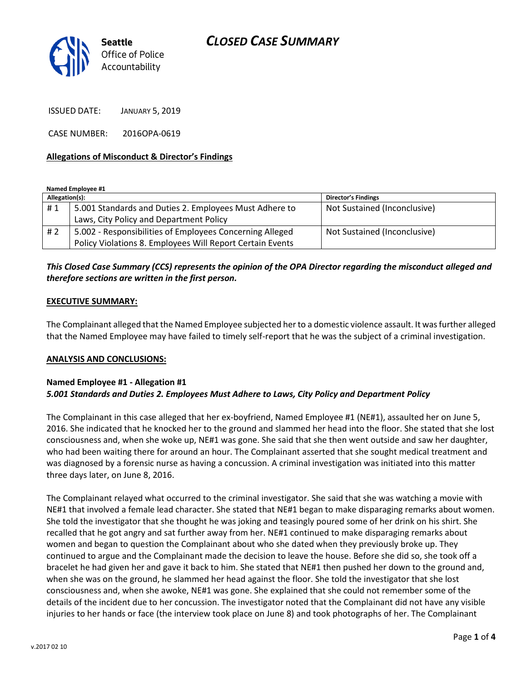

ISSUED DATE: JANUARY 5, 2019

CASE NUMBER: 2016OPA-0619

### **Allegations of Misconduct & Director's Findings**

**Named Employee #1**

| Allegation(s): |                                                           | <b>Director's Findings</b>   |
|----------------|-----------------------------------------------------------|------------------------------|
| #1             | 5.001 Standards and Duties 2. Employees Must Adhere to    | Not Sustained (Inconclusive) |
|                | Laws, City Policy and Department Policy                   |                              |
| #2             | 5.002 - Responsibilities of Employees Concerning Alleged  | Not Sustained (Inconclusive) |
|                | Policy Violations 8. Employees Will Report Certain Events |                              |

## *This Closed Case Summary (CCS) represents the opinion of the OPA Director regarding the misconduct alleged and therefore sections are written in the first person.*

#### **EXECUTIVE SUMMARY:**

The Complainant alleged that the Named Employee subjected her to a domestic violence assault. It was further alleged that the Named Employee may have failed to timely self-report that he was the subject of a criminal investigation.

#### **ANALYSIS AND CONCLUSIONS:**

### **Named Employee #1 - Allegation #1** *5.001 Standards and Duties 2. Employees Must Adhere to Laws, City Policy and Department Policy*

The Complainant in this case alleged that her ex-boyfriend, Named Employee #1 (NE#1), assaulted her on June 5, 2016. She indicated that he knocked her to the ground and slammed her head into the floor. She stated that she lost consciousness and, when she woke up, NE#1 was gone. She said that she then went outside and saw her daughter, who had been waiting there for around an hour. The Complainant asserted that she sought medical treatment and was diagnosed by a forensic nurse as having a concussion. A criminal investigation was initiated into this matter three days later, on June 8, 2016.

The Complainant relayed what occurred to the criminal investigator. She said that she was watching a movie with NE#1 that involved a female lead character. She stated that NE#1 began to make disparaging remarks about women. She told the investigator that she thought he was joking and teasingly poured some of her drink on his shirt. She recalled that he got angry and sat further away from her. NE#1 continued to make disparaging remarks about women and began to question the Complainant about who she dated when they previously broke up. They continued to argue and the Complainant made the decision to leave the house. Before she did so, she took off a bracelet he had given her and gave it back to him. She stated that NE#1 then pushed her down to the ground and, when she was on the ground, he slammed her head against the floor. She told the investigator that she lost consciousness and, when she awoke, NE#1 was gone. She explained that she could not remember some of the details of the incident due to her concussion. The investigator noted that the Complainant did not have any visible injuries to her hands or face (the interview took place on June 8) and took photographs of her. The Complainant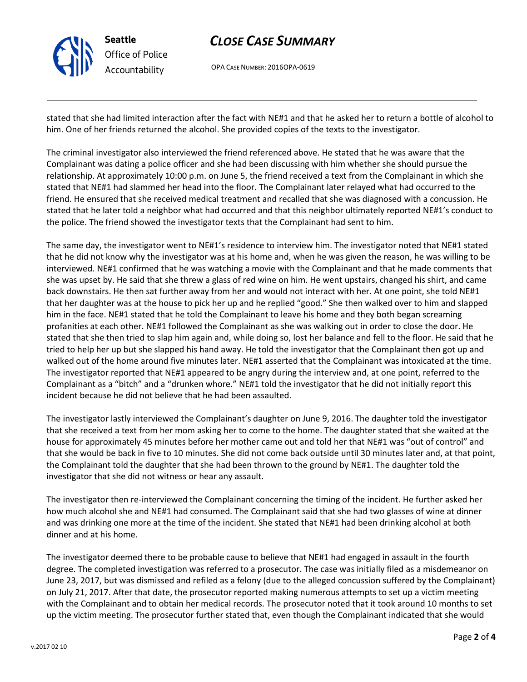

# *CLOSE CASE SUMMARY*

OPA CASE NUMBER: 2016OPA-0619

stated that she had limited interaction after the fact with NE#1 and that he asked her to return a bottle of alcohol to him. One of her friends returned the alcohol. She provided copies of the texts to the investigator.

The criminal investigator also interviewed the friend referenced above. He stated that he was aware that the Complainant was dating a police officer and she had been discussing with him whether she should pursue the relationship. At approximately 10:00 p.m. on June 5, the friend received a text from the Complainant in which she stated that NE#1 had slammed her head into the floor. The Complainant later relayed what had occurred to the friend. He ensured that she received medical treatment and recalled that she was diagnosed with a concussion. He stated that he later told a neighbor what had occurred and that this neighbor ultimately reported NE#1's conduct to the police. The friend showed the investigator texts that the Complainant had sent to him.

The same day, the investigator went to NE#1's residence to interview him. The investigator noted that NE#1 stated that he did not know why the investigator was at his home and, when he was given the reason, he was willing to be interviewed. NE#1 confirmed that he was watching a movie with the Complainant and that he made comments that she was upset by. He said that she threw a glass of red wine on him. He went upstairs, changed his shirt, and came back downstairs. He then sat further away from her and would not interact with her. At one point, she told NE#1 that her daughter was at the house to pick her up and he replied "good." She then walked over to him and slapped him in the face. NE#1 stated that he told the Complainant to leave his home and they both began screaming profanities at each other. NE#1 followed the Complainant as she was walking out in order to close the door. He stated that she then tried to slap him again and, while doing so, lost her balance and fell to the floor. He said that he tried to help her up but she slapped his hand away. He told the investigator that the Complainant then got up and walked out of the home around five minutes later. NE#1 asserted that the Complainant was intoxicated at the time. The investigator reported that NE#1 appeared to be angry during the interview and, at one point, referred to the Complainant as a "bitch" and a "drunken whore." NE#1 told the investigator that he did not initially report this incident because he did not believe that he had been assaulted.

The investigator lastly interviewed the Complainant's daughter on June 9, 2016. The daughter told the investigator that she received a text from her mom asking her to come to the home. The daughter stated that she waited at the house for approximately 45 minutes before her mother came out and told her that NE#1 was "out of control" and that she would be back in five to 10 minutes. She did not come back outside until 30 minutes later and, at that point, the Complainant told the daughter that she had been thrown to the ground by NE#1. The daughter told the investigator that she did not witness or hear any assault.

The investigator then re-interviewed the Complainant concerning the timing of the incident. He further asked her how much alcohol she and NE#1 had consumed. The Complainant said that she had two glasses of wine at dinner and was drinking one more at the time of the incident. She stated that NE#1 had been drinking alcohol at both dinner and at his home.

The investigator deemed there to be probable cause to believe that NE#1 had engaged in assault in the fourth degree. The completed investigation was referred to a prosecutor. The case was initially filed as a misdemeanor on June 23, 2017, but was dismissed and refiled as a felony (due to the alleged concussion suffered by the Complainant) on July 21, 2017. After that date, the prosecutor reported making numerous attempts to set up a victim meeting with the Complainant and to obtain her medical records. The prosecutor noted that it took around 10 months to set up the victim meeting. The prosecutor further stated that, even though the Complainant indicated that she would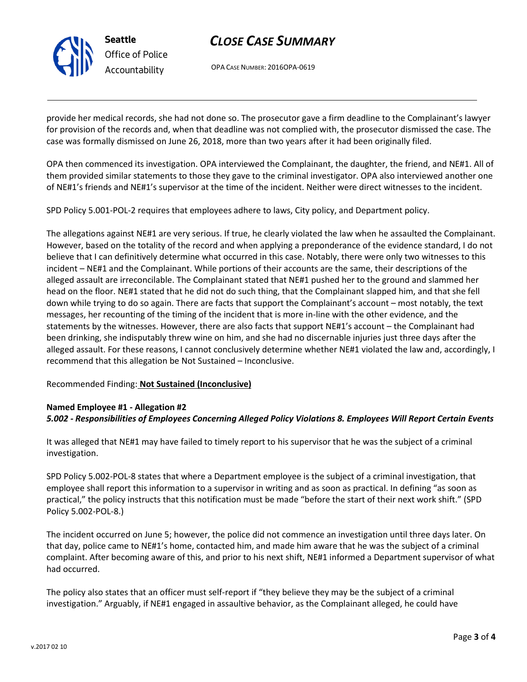

# *CLOSE CASE SUMMARY*

OPA CASE NUMBER: 2016OPA-0619

provide her medical records, she had not done so. The prosecutor gave a firm deadline to the Complainant's lawyer for provision of the records and, when that deadline was not complied with, the prosecutor dismissed the case. The case was formally dismissed on June 26, 2018, more than two years after it had been originally filed.

OPA then commenced its investigation. OPA interviewed the Complainant, the daughter, the friend, and NE#1. All of them provided similar statements to those they gave to the criminal investigator. OPA also interviewed another one of NE#1's friends and NE#1's supervisor at the time of the incident. Neither were direct witnesses to the incident.

SPD Policy 5.001-POL-2 requires that employees adhere to laws, City policy, and Department policy.

The allegations against NE#1 are very serious. If true, he clearly violated the law when he assaulted the Complainant. However, based on the totality of the record and when applying a preponderance of the evidence standard, I do not believe that I can definitively determine what occurred in this case. Notably, there were only two witnesses to this incident – NE#1 and the Complainant. While portions of their accounts are the same, their descriptions of the alleged assault are irreconcilable. The Complainant stated that NE#1 pushed her to the ground and slammed her head on the floor. NE#1 stated that he did not do such thing, that the Complainant slapped him, and that she fell down while trying to do so again. There are facts that support the Complainant's account – most notably, the text messages, her recounting of the timing of the incident that is more in-line with the other evidence, and the statements by the witnesses. However, there are also facts that support NE#1's account – the Complainant had been drinking, she indisputably threw wine on him, and she had no discernable injuries just three days after the alleged assault. For these reasons, I cannot conclusively determine whether NE#1 violated the law and, accordingly, I recommend that this allegation be Not Sustained – Inconclusive.

### Recommended Finding: **Not Sustained (Inconclusive)**

### **Named Employee #1 - Allegation #2** *5.002 - Responsibilities of Employees Concerning Alleged Policy Violations 8. Employees Will Report Certain Events*

It was alleged that NE#1 may have failed to timely report to his supervisor that he was the subject of a criminal investigation.

SPD Policy 5.002-POL-8 states that where a Department employee is the subject of a criminal investigation, that employee shall report this information to a supervisor in writing and as soon as practical. In defining "as soon as practical," the policy instructs that this notification must be made "before the start of their next work shift." (SPD Policy 5.002-POL-8.)

The incident occurred on June 5; however, the police did not commence an investigation until three days later. On that day, police came to NE#1's home, contacted him, and made him aware that he was the subject of a criminal complaint. After becoming aware of this, and prior to his next shift, NE#1 informed a Department supervisor of what had occurred.

The policy also states that an officer must self-report if "they believe they may be the subject of a criminal investigation." Arguably, if NE#1 engaged in assaultive behavior, as the Complainant alleged, he could have